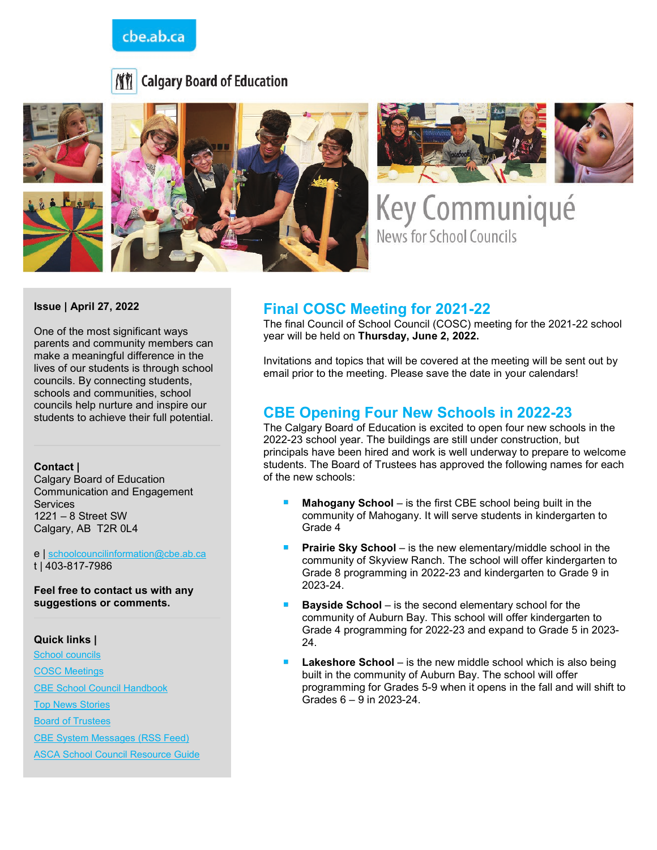## cbe.ab.ca







Key Communiqué **News for School Councils** 

#### **Issue | April 27, 2022**

One of the most significant ways parents and community members can make a meaningful difference in the lives of our students is through school councils. By connecting students, schools and communities, school councils help nurture and inspire our students to achieve their full potential.

#### **Contact |**

Calgary Board of Education Communication and Engagement **Services** 1221 – 8 Street SW Calgary, AB T2R 0L4

e | [schoolcouncilinformation@cbe.ab.ca](mailto:schoolcouncilinformation@cbe.ab.ca) t | 403-817-7986

**Feel free to contact us with any suggestions or comments.**

#### **Quick links |**

[School councils](http://www.cbe.ab.ca/get-involved/school-councils/Pages/school-councils.aspx) [COSC Meetings](http://www.cbe.ab.ca/get-involved/school-councils/Pages/meetings.aspx) [CBE School Council Handbook](http://cbe.ab.ca/FormsManuals/School-Council-Handbook.pdf) Top [News Stories](https://cbe.ab.ca/news-centre/Pages/default.aspx) **[Board of Trustees](http://cbe.ab.ca/about-us/board-of-trustees/Pages/default.aspx)** 

[CBE System Messages \(RSS Feed\)](http://cbe.ab.ca/news-centre/rss/Pages/default.aspx)

[ASCA School Council Resource Guide](https://www.albertaschoolcouncils.ca/public/download/files/181387)

## **Final COSC Meeting for 2021-22**

The final Council of School Council (COSC) meeting for the 2021-22 school year will be held on **Thursday, June 2, 2022.**

Invitations and topics that will be covered at the meeting will be sent out by email prior to the meeting. Please save the date in your calendars!

## **CBE Opening Four New Schools in 2022-23**

The Calgary Board of Education is excited to open four new schools in the 2022-23 school year. The buildings are still under construction, but principals have been hired and work is well underway to prepare to welcome students. The Board of Trustees has approved the following names for each of the new schools:

- **Mahogany School** is the first CBE school being built in the community of Mahogany. It will serve students in kindergarten to Grade 4
- **Prairie Sky School** is the new elementary/middle school in the community of Skyview Ranch. The school will offer kindergarten to Grade 8 programming in 2022-23 and kindergarten to Grade 9 in 2023-24.
- **Bayside School** is the second elementary school for the community of Auburn Bay. This school will offer kindergarten to Grade 4 programming for 2022-23 and expand to Grade 5 in 2023- 24.
- **Lakeshore School** is the new middle school which is also being built in the community of Auburn Bay. The school will offer programming for Grades 5-9 when it opens in the fall and will shift to Grades 6 – 9 in 2023-24.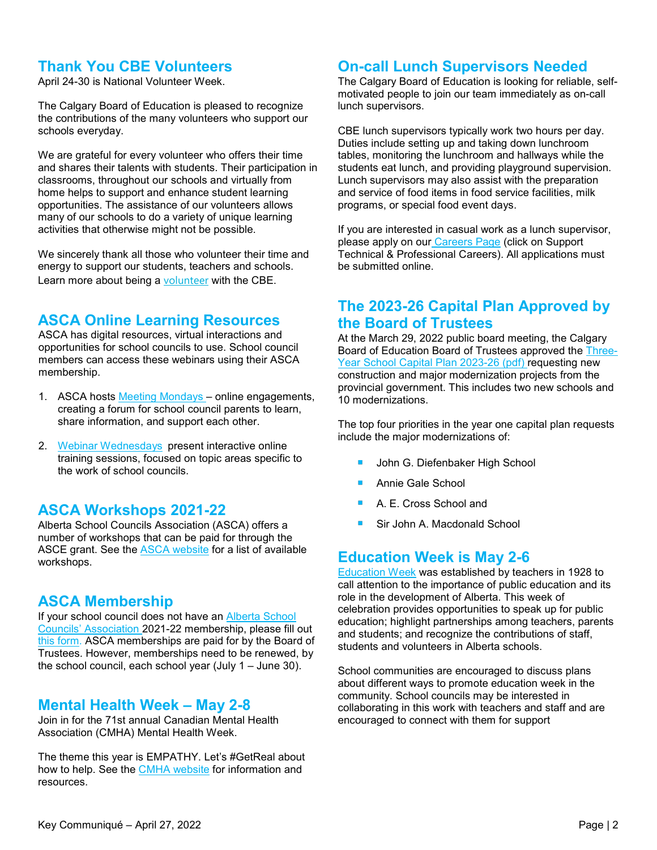## **Thank You CBE Volunteers**

April 24-30 is National Volunteer Week.

The Calgary Board of Education is pleased to recognize the contributions of the many volunteers who support our schools everyday.

We are grateful for every volunteer who offers their time and shares their talents with students. Their participation in classrooms, throughout our schools and virtually from home helps to support and enhance student learning opportunities. The assistance of our volunteers allows many of our schools to do a variety of unique learning activities that otherwise might not be possible.

We sincerely thank all those who volunteer their time and energy to support our students, teachers and schools. Learn more about being a [volunteer](https://www.cbe.ab.ca/get-involved/volunteer/Pages/volunteer.aspx) with the CBE.

## **ASCA Online Learning Resources**

ASCA has digital resources, virtual interactions and opportunities for school councils to use. School council members can access these webinars using their ASCA membership.

- 1. ASCA hosts Meeting Mondays online engagements, creating a forum for school council parents to learn, share information, and support each other.
- 2. [Webinar Wednesdays](https://www.albertaschoolcouncils.ca/school-councils/webinars/webinar-wednesdays) present interactive online training sessions, focused on topic areas specific to the work of school councils.

### **ASCA Workshops 2021-22**

Alberta School Councils Association (ASCA) offers a number of workshops that can be paid for through the ASCE grant. See the [ASCA website](https://www.albertaschoolcouncils.ca/school-councils/workshops/workshops-2021-2022) for a list of available workshops.

### **ASCA Membership**

If your school council does not have an [Alberta School](https://www.albertaschoolcouncils.ca/)  [Councils' Association](https://www.albertaschoolcouncils.ca/) 2021-22 membership, please fill out [this form](https://www.albertaschoolcouncils.ca/about/membership/request-for-membership)*.* ASCA memberships are paid for by the Board of Trustees. However, memberships need to be renewed, by the school council, each school year (July 1 – June 30).

#### **Mental Health Week – May 2-8**

Join in for the 71st annual Canadian Mental Health Association (CMHA) Mental Health Week.

The theme this year is EMPATHY. Let's #GetReal about how to help. See the [CMHA website](https://www.mentalhealthweek.ca/) for information and resources.

### **On-call Lunch Supervisors Needed**

The Calgary Board of Education is looking for reliable, selfmotivated people to join our team immediately as on-call lunch supervisors.

CBE lunch supervisors typically work two hours per day. Duties include setting up and taking down lunchroom tables, monitoring the lunchroom and hallways while the students eat lunch, and providing playground supervision. Lunch supervisors may also assist with the preparation and service of food items in food service facilities, milk programs, or special food event days.

If you are interested in casual work as a lunch supervisor, please apply on our [Careers Page](http://www.cbe.ab.ca/careers) (click on Support Technical & Professional Careers). All applications must be submitted online.

## **The 2023-26 Capital Plan Approved by the Board of Trustees**

At the March 29, 2022 public board meeting, the Calgary Board of Education Board of Trustees approved the [Three-](https://www.cbe.ab.ca/FormsManuals/Three-Year-School-Capital-Plan-2023-2026.pdf)[Year School Capital Plan 2023-26](https://www.cbe.ab.ca/FormsManuals/Three-Year-School-Capital-Plan-2023-2026.pdf) (pdf) requesting new construction and major modernization projects from the provincial government. This includes two new schools and 10 modernizations.

The top four priorities in the year one capital plan requests include the major modernizations of:

- John G. Diefenbaker High School
- Annie Gale School
- A. E. Cross School and
- Sir John A. Macdonald School

## **Education Week is May 2-6**

[Education Week](https://www.albertaschoolcouncils.ca/education-in-alberta/our-alberta-teachers/education-week#:%7E:text=Education%20Week%20is%20May%202%2D%206%2C%202022) was established by teachers in 1928 to call attention to the importance of public education and its role in the development of Alberta. This week of celebration provides opportunities to speak up for public education; highlight partnerships among teachers, parents and students; and recognize the contributions of staff, students and volunteers in Alberta schools.

School communities are encouraged to discuss plans about different ways to promote education week in the community. School councils may be interested in collaborating in this work with teachers and staff and are encouraged to connect with them for support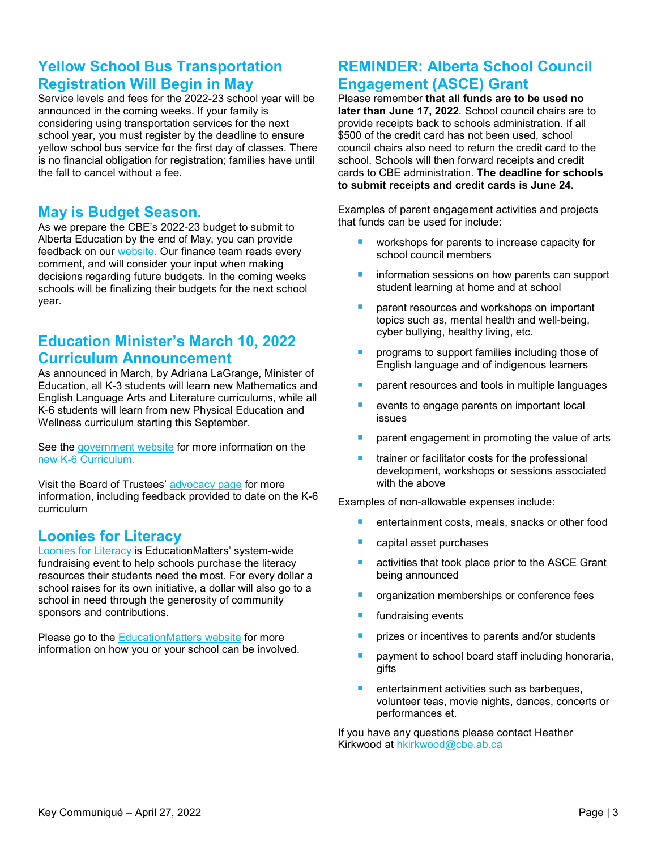# **Yellow School Bus Transportation Registration Will Begin in May**

Service levels and fees for the 2022-23 school year will be announced in the coming weeks. If your family is considering using transportation services for the next school year, you must register by the deadline to ensure yellow school bus service for the first day of classes. There is no financial obligation for registration; families have until the fall to cancel without a fee.

### **May is Budget Season.**

As we prepare the CBE's 2022-23 budget to submit to Alberta Education by the end of May, you can provide feedback on our [website.](https://finance.cbedialogue.com/en/projects/budget-feedback/engagements/budget-feedback-form/sections/1) Our finance team reads every comment, and will consider your input when making decisions regarding future budgets. In the coming weeks schools will be finalizing their budgets for the next school year.

# **Education Minister's March 10, 2022 Curriculum Announcement**

As announced in March, by Adriana LaGrange, Minister of Education, all K-3 students will learn new Mathematics and English Language Arts and Literature curriculums, while all K-6 students will learn from new Physical Education and Wellness curriculum starting this September.

See the [government website](https://www.alberta.ca/release.cfm?xID=82345661B5300-CB57-0922-7DEF28F231D359B0#jumplinks-4) for more information on the [new K-6 Curriculum.](https://www.alberta.ca/article-new-k-6-curriculum-to-prepare-students-for-the-future.aspx)

Visit the Board of Trustees' [advocacy page](https://www.cbe.ab.ca/about-us/board-of-trustees/Pages/board-advocacy.aspx) for more information, including feedback provided to date on the K-6 curriculum

# **Loonies for Literacy**

[Loonies for Literacy](https://www.educationmatters.ca/text-to-donate-for-loonies-for-literacy/) is EducationMatters' system-wide fundraising event to help schools purchase the literacy resources their students need the most. For every dollar a school raises for its own initiative, a dollar will also go to a school in need through the generosity of community sponsors and contributions.

Please go to the [EducationMatters website](https://www.educationmatters.ca/?s=loonies+for+literacy) for more information on how you or your school can be involved.

# **REMINDER: Alberta School Council Engagement (ASCE) Grant**

Please remember **that all funds are to be used no later than June 17, 2022**. School council chairs are to provide receipts back to schools administration. If all \$500 of the credit card has not been used, school council chairs also need to return the credit card to the school. Schools will then forward receipts and credit cards to CBE administration. **The deadline for schools to submit receipts and credit cards is June 24.**

Examples of parent engagement activities and projects that funds can be used for include:

- workshops for parents to increase capacity for school council members
- $\overline{\phantom{a}}$ information sessions on how parents can support student learning at home and at school
- parent resources and workshops on important topics such as, mental health and well-being, cyber bullying, healthy living, etc.
- programs to support families including those of English language and of indigenous learners
- parent resources and tools in multiple languages
- events to engage parents on important local issues
- parent engagement in promoting the value of arts
- trainer or facilitator costs for the professional development, workshops or sessions associated with the above

Examples of non-allowable expenses include:

- $\overline{\phantom{a}}$ entertainment costs, meals, snacks or other food
- capital asset purchases
- activities that took place prior to the ASCE Grant being announced
- organization memberships or conference fees
- fundraising events
- prizes or incentives to parents and/or students
- payment to school board staff including honoraria, gifts
- $\mathcal{L}_{\mathcal{A}}$ entertainment activities such as barbeques, volunteer teas, movie nights, dances, concerts or performances et.

If you have any questions please contact Heather Kirkwood at [hkirkwood@cbe.ab.ca](mailto:hkirkwood@cbe.ab.ca)